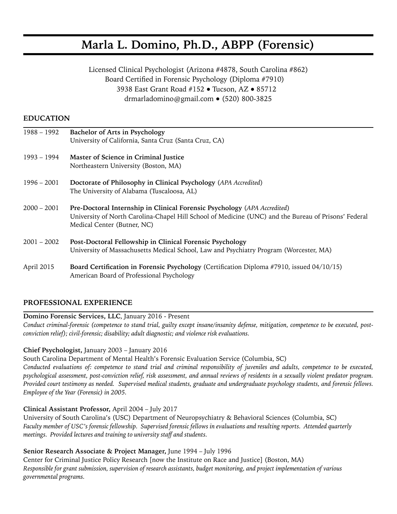# **Marla L. Domino, Ph.D., ABPP (Forensic)**

Licensed Clinical Psychologist (Arizona #4878, South Carolina #862) Board Certified in Forensic Psychology (Diploma #7910) 3938 East Grant Road #152 ● Tucson, AZ ● 85712 [drmarladomino@gmail.com](mailto:drmarladomino@gmail.com) ● (520) 800-3825

# **EDUCATION**

| $1988 - 1992$ | Bachelor of Arts in Psychology                                                                                                      |
|---------------|-------------------------------------------------------------------------------------------------------------------------------------|
|               | University of California, Santa Cruz (Santa Cruz, CA)                                                                               |
| 1993 – 1994   | Master of Science in Criminal Justice                                                                                               |
|               | Northeastern University (Boston, MA)                                                                                                |
| $1996 - 2001$ | Doctorate of Philosophy in Clinical Psychology (APA Accredited)                                                                     |
|               | The University of Alabama (Tuscaloosa, AL)                                                                                          |
| $2000 - 2001$ | Pre-Doctoral Internship in Clinical Forensic Psychology (APA Accredited)                                                            |
|               | University of North Carolina-Chapel Hill School of Medicine (UNC) and the Bureau of Prisons' Federal<br>Medical Center (Butner, NC) |
| $2001 - 2002$ | Post-Doctoral Fellowship in Clinical Forensic Psychology                                                                            |
|               | University of Massachusetts Medical School, Law and Psychiatry Program (Worcester, MA)                                              |
| April 2015    | Board Certification in Forensic Psychology (Certification Diploma #7910, issued 04/10/15)                                           |
|               | American Board of Professional Psychology                                                                                           |

# **PROFESSIONAL EXPERIENCE**

#### **Domino Forensic Services, LLC**, January 2016 - Present

*Conduct criminal-forensic (competence to stand trial, guilty except insane/insanity defense, mitigation, competence to be executed, postconviction relief); civil-forensic; disability; adult diagnostic; and violence risk evaluations.* 

#### **Chief Psychologist,** January 2003 – January 2016

South Carolina Department of Mental Health's Forensic Evaluation Service (Columbia, SC)

*Conducted evaluations of: competence to stand trial and criminal responsibility of juveniles and adults, competence to be executed, psychological assessment, post-conviction relief, risk assessment, and annual reviews of residents in a sexually violent predator program. Provided court testimony as needed. Supervised medical students, graduate and undergraduate psychology students, and forensic fellows. Employee of the Year (Forensic) in 2005.* 

# **Clinical Assistant Professor,** April 2004 – July 2017

University of South Carolina's (USC) Department of Neuropsychiatry & Behavioral Sciences (Columbia, SC) *Faculty member of USC's forensic fellowship. Supervised forensic fellows in evaluations and resulting reports. Attended quarterly meetings. Provided lectures and training to university staff and students.* 

# **Senior Research Associate & Project Manager,** June 1994 – July 1996

Center for Criminal Justice Policy Research [now the Institute on Race and Justice] (Boston, MA) *Responsible for grant submission, supervision of research assistants, budget monitoring, and project implementation of various governmental programs.*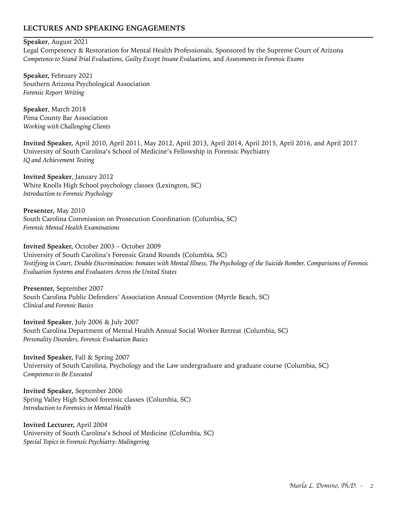# **LECTURES AND SPEAKING ENGAGEMENTS**

#### **Speaker**, August 2021

Legal Competency & Restoration for Mental Health Professionals, Sponsored by the Supreme Court of Arizona *Competence to Stand Trial Evaluations, Guilty Except Insane Evaluations,* and *Assessments in Forensic Exams* 

**Speaker,** February 2021 Southern Arizona Psychological Association *Forensic Report Writing* 

**Speaker**, March 2018 Pima County Bar Association *Working with Challenging Clients* 

**Invited Speaker,** April 2010, April 2011, May 2012, April 2013, April 2014, April 2015, April 2016, and April 2017 University of South Carolina's School of Medicine's Fellowship in Forensic Psychiatry *IQ and Achievement Testing* 

**Invited Speaker**, January 2012 White Knolls High School psychology classes (Lexington, SC) *Introduction to Forensic Psychology* 

**Presenter***,* May 2010 South Carolina Commission on Prosecution Coordination (Columbia, SC) *Forensic Mental Health Examinations* 

**Invited Speaker,** October 2003 – October 2009 University of South Carolina's Forensic Grand Rounds (Columbia, SC) *Testifying in Court, Double Discrimination: Inmates with Mental Illness, The Psychology of the Suicide Bomber, Comparisons of Forensic Evaluation Systems and Evaluators Across the United States* 

**Presenter,** September 2007 South Carolina Public Defenders' Association Annual Convention (Myrtle Beach, SC) *Clinical and Forensic Basics* 

**Invited Speaker**, July 2006 & July 2007 South Carolina Department of Mental Health Annual Social Worker Retreat (Columbia, SC) *Personality Disorders, Forensic Evaluation Basics*

**Invited Speaker,** Fall & Spring 2007 University of South Carolina, Psychology and the Law undergraduate and graduate course (Columbia, SC) *Competence to Be Executed* 

**Invited Speaker***,* September 2006 Spring Valley High School forensic classes (Columbia, SC) *Introduction to Forensics in Mental Health* 

**Invited Lecturer,** April 2004 University of South Carolina's School of Medicine (Columbia, SC) *Special Topics in Forensic Psychiatry: Malingering*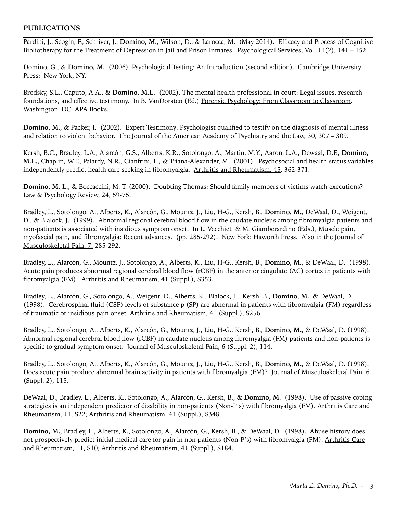#### **PUBLICATIONS**

Pardini, J., Scogin, F., Schriver, J., **Domino, M**., Wilson, D., & Larocca, M. (May 2014). Efficacy and Process of Cognitive Bibliotherapy for the Treatment of Depression in Jail and Prison Inmates. Psychological Services, Vol. 11(2), 141 – 152.

Domino, G., & Domino, M. (2006). Psychological Testing: An Introduction (second edition). Cambridge University Press: New York, NY.

Brodsky, S.L., Caputo, A.A., & **Domino, M.L.** (2002). The mental health professional in court: Legal issues, research foundations, and effective testimony. In B. VanDorsten (Ed.) Forensic Psychology: From Classroom to Classroom. Washington, DC: APA Books.

**Domino, M., & Packer, I.** (2002). Expert Testimony: Psychologist qualified to testify on the diagnosis of mental illness and relation to violent behavior. The Journal of the American Academy of Psychiatry and the Law, 30, 307 – 309.

Kersh, B.C., Bradley, L.A., Alarcón, G.S., Alberts, K.R., Sotolongo, A., Martin, M.Y., Aaron, L.A., Dewaal, D.F., **Domino, M.L.,** Chaplin, W.F., Palardy, N.R., Cianfrini, L., & Triana-Alexander, M. (2001). Psychosocial and health status variables independently predict health care seeking in fibromyalgia. Arthritis and Rheumatism, 45, 362-371.

**Domino, M. L., & Boccaccini, M. T. (2000).** Doubting Thomas: Should family members of victims watch executions? Law & Psychology Review, 24, 59-75.

Bradley, L., Sotolongo, A., Alberts, K., Alarcón, G., Mountz, J., Liu, H-G., Kersh, B., **Domino, M.**, DeWaal, D., Weigent, D., & Blalock, J. (1999). Abnormal regional cerebral blood flow in the caudate nucleus among fibromyalgia patients and non-patients is associated with insidious symptom onset. In L. Vecchiet & M. Giamberardino (Eds.), Muscle pain, myofascial pain, and fibromyalgia: Recent advances. (pp. 285-292). New York: Haworth Press. Also in the Journal of Musculoskeletal Pain, 7, 285-292.

Bradley, L., Alarcón, G., Mountz, J., Sotolongo, A., Alberts, K., Liu, H-G., Kersh, B., **Domino, M.**, & DeWaal, D. (1998). Acute pain produces abnormal regional cerebral blood flow (rCBF) in the anterior cingulate (AC) cortex in patients with fibromyalgia (FM). Arthritis and Rheumatism, 41 (Suppl.), S353.

Bradley, L., Alarcón, G., Sotolongo, A., Weigent, D., Alberts, K., Blalock, J., Kersh, B., **Domino, M.**, & DeWaal, D. (1998). Cerebrospinal fluid (CSF) levels of substance p (SP) are abnormal in patients with fibromyalgia (FM) regardless of traumatic or insidious pain onset. Arthritis and Rheumatism, 41 (Suppl.), S256.

Bradley, L., Sotolongo, A., Alberts, K., Alarcón, G., Mountz, J., Liu, H-G., Kersh, B., **Domino, M.**, & DeWaal, D. (1998). Abnormal regional cerebral blood flow (rCBF) in caudate nucleus among fibromyalgia (FM) patients and non-patients is specific to gradual symptom onset. Journal of Musculoskeletal Pain, 6 (Suppl. 2), 114.

Bradley, L., Sotolongo, A., Alberts, K., Alarcón, G., Mountz, J., Liu, H-G., Kersh, B., **Domino, M.**, & DeWaal, D. (1998). Does acute pain produce abnormal brain activity in patients with fibromyalgia (FM)? Journal of Musculoskeletal Pain, 6 (Suppl. 2), 115.

DeWaal, D., Bradley, L., Alberts, K., Sotolongo, A., Alarcón, G., Kersh, B., & **Domino, M.** (1998). Use of passive coping strategies is an independent predictor of disability in non-patients (Non-P's) with fibromyalgia (FM). Arthritis Care and Rheumatism, 11, S22; Arthritis and Rheumatism, 41 (Suppl.), S348.

**Domino, M.**, Bradley, L., Alberts, K., Sotolongo, A., Alarcón, G., Kersh, B., & DeWaal, D. (1998). Abuse history does not prospectively predict initial medical care for pain in non-patients (Non-P's) with fibromyalgia (FM). Arthritis Care and Rheumatism, 11, S10; Arthritis and Rheumatism, 41 (Suppl.), S184.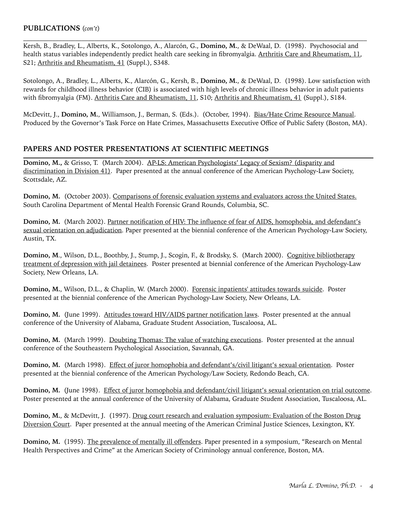# **PUBLICATIONS** (*con't*)

Kersh, B., Bradley, L., Alberts, K., Sotolongo, A., Alarcón, G., **Domino, M.**, & DeWaal, D. (1998). Psychosocial and health status variables independently predict health care seeking in fibromyalgia. Arthritis Care and Rheumatism, 11, S21; Arthritis and Rheumatism, 41 (Suppl.), S348.

 $\mathcal{L}_\mathcal{L} = \{ \mathcal{L}_\mathcal{L} = \{ \mathcal{L}_\mathcal{L} = \{ \mathcal{L}_\mathcal{L} = \{ \mathcal{L}_\mathcal{L} = \{ \mathcal{L}_\mathcal{L} = \{ \mathcal{L}_\mathcal{L} = \{ \mathcal{L}_\mathcal{L} = \{ \mathcal{L}_\mathcal{L} = \{ \mathcal{L}_\mathcal{L} = \{ \mathcal{L}_\mathcal{L} = \{ \mathcal{L}_\mathcal{L} = \{ \mathcal{L}_\mathcal{L} = \{ \mathcal{L}_\mathcal{L} = \{ \mathcal{L}_\mathcal{$ 

Sotolongo, A., Bradley, L., Alberts, K., Alarcón, G., Kersh, B., **Domino, M.**, & DeWaal, D. (1998). Low satisfaction with rewards for childhood illness behavior (CIB) is associated with high levels of chronic illness behavior in adult patients with fibromyalgia (FM). Arthritis Care and Rheumatism, 11, S10; Arthritis and Rheumatism, 41 (Suppl.), S184.

McDevitt, J., **Domino, M.**, Williamson, J., Berman, S. (Eds.). (October, 1994). Bias/Hate Crime Resource Manual. Produced by the Governor's Task Force on Hate Crimes, Massachusetts Executive Office of Public Safety (Boston, MA).

#### **PAPERS AND POSTER PRESENTATIONS AT SCIENTIFIC MEETINGS**

**Domino, M.,** & Grisso, T. (March 2004). AP-LS: American Psychologists' Legacy of Sexism? (disparity and discrimination in Division 41). Paper presented at the annual conference of the American Psychology-Law Society, Scottsdale, AZ.

**Domino, M.** (October 2003). Comparisons of forensic evaluation systems and evaluators across the United States. South Carolina Department of Mental Health Forensic Grand Rounds, Columbia, SC.

**Domino, M.** (March 2002). Partner notification of HIV: The influence of fear of AIDS, homophobia, and defendant's sexual orientation on adjudication. Paper presented at the biennial conference of the American Psychology-Law Society, Austin, TX.

**Domino, M**., Wilson, D.L., Boothby, J., Stump, J., Scogin, F., & Brodsky, S. (March 2000). Cognitive bibliotherapy treatment of depression with jail detainees. Poster presented at biennial conference of the American Psychology-Law Society, New Orleans, LA.

**Domino, M.**, Wilson, D.L., & Chaplin, W. (March 2000). Forensic inpatients' attitudes towards suicide. Poster presented at the biennial conference of the American Psychology-Law Society, New Orleans, LA.

**Domino, M.** (June 1999). Attitudes toward HIV/AIDS partner notification laws. Poster presented at the annual conference of the University of Alabama, Graduate Student Association, Tuscaloosa, AL.

**Domino, M.** (March 1999). Doubting Thomas: The value of watching executions. Poster presented at the annual conference of the Southeastern Psychological Association, Savannah, GA.

**Domino, M.** (March 1998). Effect of juror homophobia and defendant's/civil litigant's sexual orientation. Poster presented at the biennial conference of the American Psychology/Law Society, Redondo Beach, CA.

**Domino, M.** (June 1998). Effect of juror homophobia and defendant/civil litigant's sexual orientation on trial outcome. Poster presented at the annual conference of the University of Alabama, Graduate Student Association, Tuscaloosa, AL.

**Domino, M.**, & McDevitt, J. (1997). Drug court research and evaluation symposium: Evaluation of the Boston Drug Diversion Court. Paper presented at the annual meeting of the American Criminal Justice Sciences, Lexington, KY.

**Domino, M.** (1995). The prevalence of mentally ill offenders. Paper presented in a symposium, "Research on Mental Health Perspectives and Crime" at the American Society of Criminology annual conference, Boston, MA.